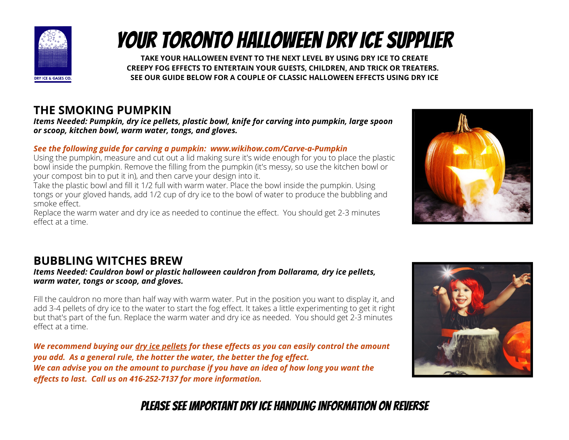

# your toronto Halloween Dry Ice supplier

**TAKE YOUR HALLOWEEN EVENT TO THE NEXT LEVEL BY USING DRY ICE TO CREATE CREEPY FOG EFFECTS TO ENTERTAIN YOUR GUESTS, CHILDREN, AND TRICK OR TREATERS. SEE OUR GUIDE BELOW FOR A COUPLE OF CLASSIC HALLOWEEN EFFECTS USING DRY ICE**

### **THE SMOKING PUMPKIN**

*Items Needed: Pumpkin, dry ice pellets, plastic bowl, knife for carving into pumpkin, large spoon or scoop, kitchen bowl, warm water, tongs, and gloves.*

#### *See the following guide for carving a pumpkin: www.wikihow.com/Carve-a-Pumpkin*

Using the pumpkin, measure and cut out a lid making sure it's wide enough for you to place the plastic bowl inside the pumpkin. Remove the filling from the pumpkin (it's messy, so use the kitchen bowl or your compost bin to put it in), and then carve your design into it.

Take the plastic bowl and fill it 1/2 full with warm water. Place the bowl inside the pumpkin. Using tongs or your gloved hands, add 1/2 cup of dry ice to the bowl of water to produce the bubbling and smoke effect.

Replace the warm water and dry ice as needed to continue the effect. You should get 2-3 minutes effect at a time.



### **BUBBLING WITCHES BREW**

*Items Needed: Cauldron bowl or plastic halloween cauldron from Dollarama, dry ice pellets, warm water, tongs or scoop, and gloves.*

Fill the cauldron no more than half way with warm water. Put in the position you want to display it, and add 3-4 pellets of dry ice to the water to start the fog effect. It takes a little experimenting to get it right but that's part of the fun. Replace the warm water and dry ice as needed. You should get 2-3 minutes effect at a time.

*We recommend buying our dry ice pellets for these effects as you can easily control the amount you add. As a general rule, the hotter the water, the better the fog effect.* We can advise you on the amount to purchase if you have an idea of how long you want the *effects to last. Call us on 416-252-7137 for more information.*



## please see important dry ice handling information on reverse